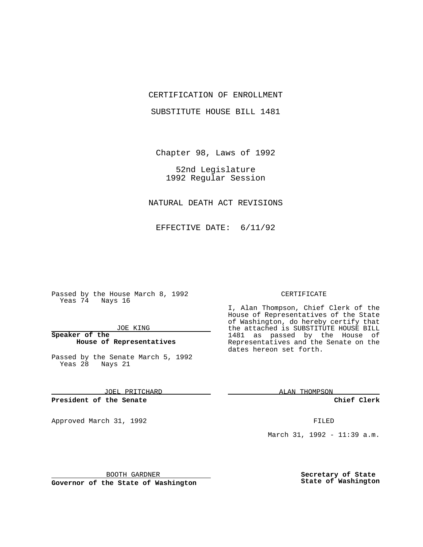## CERTIFICATION OF ENROLLMENT

SUBSTITUTE HOUSE BILL 1481

Chapter 98, Laws of 1992

52nd Legislature 1992 Regular Session

NATURAL DEATH ACT REVISIONS

EFFECTIVE DATE: 6/11/92

Passed by the House March 8, 1992 Yeas 74 Nays 16

JOE KING

**Speaker of the House of Representatives**

Passed by the Senate March 5, 1992 Yeas 28 Nays 21

JOEL PRITCHARD

**President of the Senate**

Approved March 31, 1992 **FILED** 

### CERTIFICATE

I, Alan Thompson, Chief Clerk of the House of Representatives of the State of Washington, do hereby certify that the attached is SUBSTITUTE HOUSE BILL 1481 as passed by the House of Representatives and the Senate on the dates hereon set forth.

ALAN THOMPSON

**Chief Clerk**

March 31, 1992 - 11:39 a.m.

BOOTH GARDNER

**Governor of the State of Washington**

**Secretary of State State of Washington**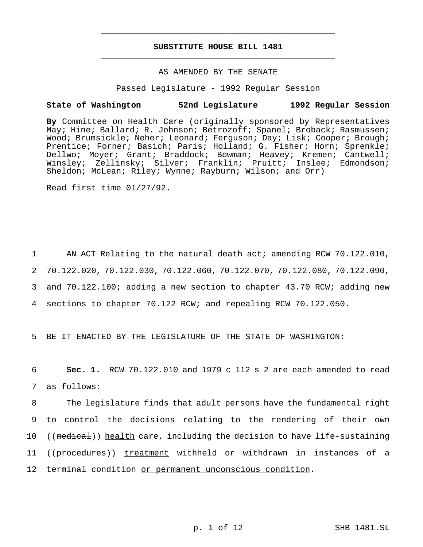# **SUBSTITUTE HOUSE BILL 1481** \_\_\_\_\_\_\_\_\_\_\_\_\_\_\_\_\_\_\_\_\_\_\_\_\_\_\_\_\_\_\_\_\_\_\_\_\_\_\_\_\_\_\_\_\_\_\_

\_\_\_\_\_\_\_\_\_\_\_\_\_\_\_\_\_\_\_\_\_\_\_\_\_\_\_\_\_\_\_\_\_\_\_\_\_\_\_\_\_\_\_\_\_\_\_

# AS AMENDED BY THE SENATE

Passed Legislature - 1992 Regular Session

#### **State of Washington 52nd Legislature 1992 Regular Session**

**By** Committee on Health Care (originally sponsored by Representatives May; Hine; Ballard; R. Johnson; Betrozoff; Spanel; Broback; Rasmussen; Wood; Brumsickle; Neher; Leonard; Ferguson; Day; Lisk; Cooper; Brough; Prentice; Forner; Basich; Paris; Holland; G. Fisher; Horn; Sprenkle; Dellwo; Moyer; Grant; Braddock; Bowman; Heavey; Kremen; Cantwell; Winsley; Zellinsky; Silver; Franklin; Pruitt; Inslee; Edmondson; Sheldon; McLean; Riley; Wynne; Rayburn; Wilson; and Orr)

Read first time 01/27/92.

1 AN ACT Relating to the natural death act; amending RCW 70.122.010, 70.122.020, 70.122.030, 70.122.060, 70.122.070, 70.122.080, 70.122.090, and 70.122.100; adding a new section to chapter 43.70 RCW; adding new sections to chapter 70.122 RCW; and repealing RCW 70.122.050.

5 BE IT ENACTED BY THE LEGISLATURE OF THE STATE OF WASHINGTON:

6 **Sec. 1.** RCW 70.122.010 and 1979 c 112 s 2 are each amended to read 7 as follows:

8 The legislature finds that adult persons have the fundamental right 9 to control the decisions relating to the rendering of their own 10 ((medical)) health care, including the decision to have life-sustaining 11 ((procedures)) treatment withheld or withdrawn in instances of a 12 terminal condition or permanent unconscious condition.

p. 1 of 12 SHB 1481.SL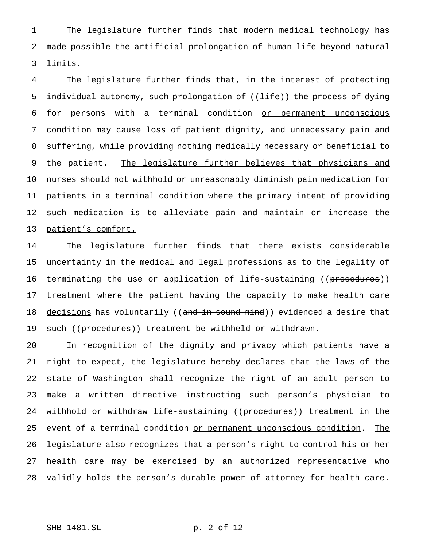1 The legislature further finds that modern medical technology has 2 made possible the artificial prolongation of human life beyond natural 3 limits.

4 The legislature further finds that, in the interest of protecting 5 individual autonomy, such prolongation of ((<del>life</del>)) the process of dying 6 for persons with a terminal condition or permanent unconscious 7 condition may cause loss of patient dignity, and unnecessary pain and 8 suffering, while providing nothing medically necessary or beneficial to 9 the patient. The legislature further believes that physicians and 10 nurses should not withhold or unreasonably diminish pain medication for 11 patients in a terminal condition where the primary intent of providing 12 such medication is to alleviate pain and maintain or increase the 13 patient's comfort.

14 The legislature further finds that there exists considerable 15 uncertainty in the medical and legal professions as to the legality of 16 terminating the use or application of life-sustaining ((procedures)) 17 treatment where the patient having the capacity to make health care 18 decisions has voluntarily ((and in sound mind)) evidenced a desire that 19 such ((procedures)) treatment be withheld or withdrawn.

20 In recognition of the dignity and privacy which patients have a 21 right to expect, the legislature hereby declares that the laws of the 22 state of Washington shall recognize the right of an adult person to 23 make a written directive instructing such person's physician to 24 withhold or withdraw life-sustaining ((procedures)) treatment in the 25 event of a terminal condition or permanent unconscious condition. The 26 legislature also recognizes that a person's right to control his or her 27 health care may be exercised by an authorized representative who 28 validly holds the person's durable power of attorney for health care.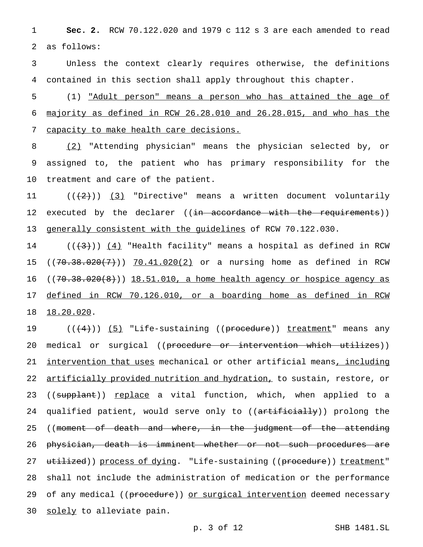1 **Sec. 2.** RCW 70.122.020 and 1979 c 112 s 3 are each amended to read 2 as follows:

3 Unless the context clearly requires otherwise, the definitions 4 contained in this section shall apply throughout this chapter.

5 (1) "Adult person" means a person who has attained the age of 6 majority as defined in RCW 26.28.010 and 26.28.015, and who has the 7 capacity to make health care decisions.

8 (2) "Attending physician" means the physician selected by, or 9 assigned to, the patient who has primary responsibility for the 10 treatment and care of the patient.

11  $((+2))$   $(3)$  "Directive" means a written document voluntarily 12 executed by the declarer ((in accordance with the requirements)) 13 generally consistent with the guidelines of RCW 70.122.030.

14  $((+3))$   $(4)$  "Health facility" means a hospital as defined in RCW 15 ((70.38.020(7))) 70.41.020(2) or a nursing home as defined in RCW 16 ((70.38.020(8))) 18.51.010, a home health agency or hospice agency as 17 defined in RCW 70.126.010, or a boarding home as defined in RCW 18 18.20.020.

19 ((<del>(4)</del>)) <u>(5)</u> "Life-sustaining ((procedure)) treatment" means any 20 medical or surgical ((procedure or intervention which utilizes)) 21 intervention that uses mechanical or other artificial means, including 22 artificially provided nutrition and hydration, to sustain, restore, or 23 ((supplant)) replace a vital function, which, when applied to a 24 qualified patient, would serve only to ((artificially)) prolong the 25 ((moment of death and where, in the judgment of the attending 26 physician, death is imminent whether or not such procedures are 27 utilized)) process of dying. "Life-sustaining ((procedure)) treatment" 28 shall not include the administration of medication or the performance 29 of any medical ((procedure)) or surgical intervention deemed necessary 30 solely to alleviate pain.

p. 3 of 12 SHB 1481.SL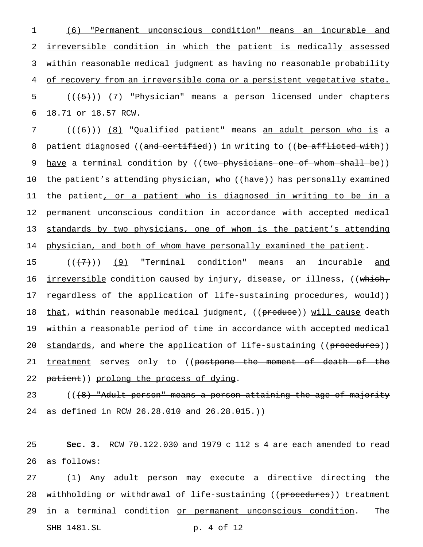(6) "Permanent unconscious condition" means an incurable and irreversible condition in which the patient is medically assessed within reasonable medical judgment as having no reasonable probability of recovery from an irreversible coma or a persistent vegetative state.  $((+5))$   $(7)$  "Physician" means a person licensed under chapters 18.71 or 18.57 RCW.

7 (((6)) (8) "Qualified patient" means an adult person who is a 8 patient diagnosed ((and certified)) in writing to ((be afflicted with)) 9 have a terminal condition by ((two physicians one of whom shall be)) 10 the patient's attending physician, who ((have)) has personally examined 11 the patient, or a patient who is diagnosed in writing to be in a 12 permanent unconscious condition in accordance with accepted medical 13 standards by two physicians, one of whom is the patient's attending 14 physician, and both of whom have personally examined the patient.

15  $((+7))$  (9) "Terminal condition" means an incurable and 16 <u>irreversible</u> condition caused by injury, disease, or illness, ((which, 17 regardless of the application of life-sustaining procedures, would)) 18 that, within reasonable medical judgment, ((produce)) will cause death 19 within a reasonable period of time in accordance with accepted medical 20 standards, and where the application of life-sustaining ((procedures)) 21 <u>treatment</u> serve<u>s</u> only to ((postpone the moment of death of the 22 patient)) prolong the process of dying.

23 ((<del>(8) "Adult person" means a person attaining the age of majority</del> 24 as defined in RCW 26.28.010 and 26.28.015.)

25 **Sec. 3.** RCW 70.122.030 and 1979 c 112 s 4 are each amended to read 26 as follows:

27 (1) Any adult person may execute a directive directing the 28 withholding or withdrawal of life-sustaining ((procedures)) treatment 29 in a terminal condition or permanent unconscious condition. The SHB 1481.SL p. 4 of 12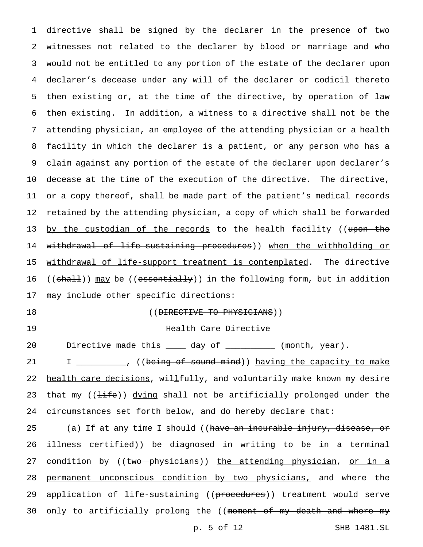directive shall be signed by the declarer in the presence of two witnesses not related to the declarer by blood or marriage and who would not be entitled to any portion of the estate of the declarer upon declarer's decease under any will of the declarer or codicil thereto then existing or, at the time of the directive, by operation of law then existing. In addition, a witness to a directive shall not be the attending physician, an employee of the attending physician or a health facility in which the declarer is a patient, or any person who has a claim against any portion of the estate of the declarer upon declarer's decease at the time of the execution of the directive. The directive, or a copy thereof, shall be made part of the patient's medical records retained by the attending physician, a copy of which shall be forwarded 13 <u>by the custodian of the records</u> to the health facility ((upon the withdrawal of life-sustaining procedures)) when the withholding or withdrawal of life-support treatment is contemplated. The directive 16 ((shall)) may be ((essentially)) in the following form, but in addition may include other specific directions:

18 ((DIRECTIVE TO PHYSICIANS))

## 19 **Health Care Directive**

20 Directive made this \_\_\_\_ day of \_\_\_\_\_\_\_\_\_\_ (month, year).

21 I \_\_\_\_\_\_\_\_, ((being of sound mind)) having the capacity to make 22 health care decisions, willfully, and voluntarily make known my desire 23 that my (( $\frac{1}{1}$ ife)) dying shall not be artificially prolonged under the 24 circumstances set forth below, and do hereby declare that:

25 (a) If at any time I should ((have an incurable injury, disease, or 26 illness certified)) be diagnosed in writing to be in a terminal 27 condition by ((two physicians)) the attending physician, or in a 28 permanent unconscious condition by two physicians, and where the 29 application of life-sustaining ((procedures)) treatment would serve 30 only to artificially prolong the ((moment of my death and where my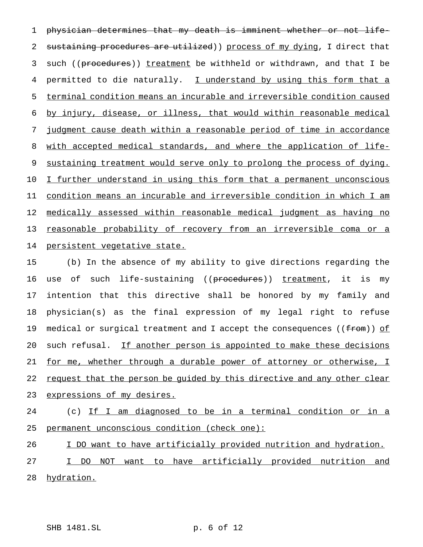physician determines that my death is imminent whether or not life-2 sustaining procedures are utilized)) process of my dying, I direct that 3 such ((procedures)) treatment be withheld or withdrawn, and that I be permitted to die naturally. I understand by using this form that a terminal condition means an incurable and irreversible condition caused by injury, disease, or illness, that would within reasonable medical judgment cause death within a reasonable period of time in accordance with accepted medical standards, and where the application of life-9 sustaining treatment would serve only to prolong the process of dying. I further understand in using this form that a permanent unconscious condition means an incurable and irreversible condition in which I am medically assessed within reasonable medical judgment as having no reasonable probability of recovery from an irreversible coma or a persistent vegetative state.

 (b) In the absence of my ability to give directions regarding the 16 use of such life-sustaining ((<del>procedures</del>)) <u>treatment</u>, it is my intention that this directive shall be honored by my family and physician(s) as the final expression of my legal right to refuse 19 medical or surgical treatment and I accept the consequences (( $f$ from)) of 20 such refusal. If another person is appointed to make these decisions for me, whether through a durable power of attorney or otherwise, I 22 request that the person be quided by this directive and any other clear 23 expressions of my desires.

 (c) If I am diagnosed to be in a terminal condition or in a permanent unconscious condition (check one):

I DO want to have artificially provided nutrition and hydration.

 I DO NOT want to have artificially provided nutrition and 28 hydration.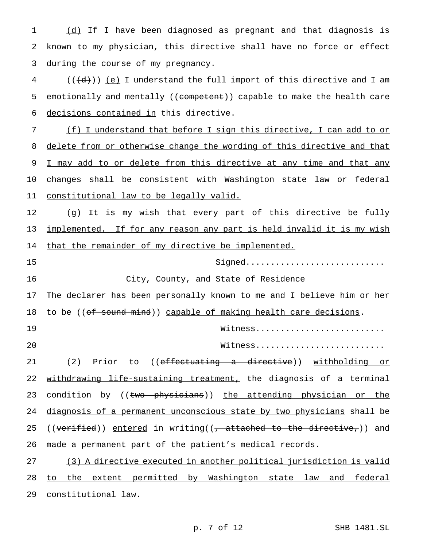1 (d) If I have been diagnosed as pregnant and that diagnosis is 2 known to my physician, this directive shall have no force or effect 3 during the course of my pregnancy.

 $4$  (( $\left(\frac{d}{d}\right)$ ) (e) I understand the full import of this directive and I am 5 emotionally and mentally ((competent)) capable to make the health care 6 decisions contained in this directive.

7 (f) I understand that before I sign this directive, I can add to or 8 delete from or otherwise change the wording of this directive and that 9 I may add to or delete from this directive at any time and that any 10 changes shall be consistent with Washington state law or federal 11 constitutional law to be legally valid.

12 (g) It is my wish that every part of this directive be fully 13 implemented. If for any reason any part is held invalid it is my wish 14 that the remainder of my directive be implemented.

15 Signed............................ 16 City, County, and State of Residence

17 The declarer has been personally known to me and I believe him or her 18 to be ((of sound mind)) capable of making health care decisions.

19 Witness.......................... 20 Witness..........................

21 (2) Prior to ((effectuating a directive)) withholding or 22 withdrawing life-sustaining treatment, the diagnosis of a terminal 23 condition by ((two physicians)) the attending physician or the 24 diagnosis of a permanent unconscious state by two physicians shall be 25 (( $\overline{vertied}$ )) entered in writing((, attached to the directive,)) and 26 made a permanent part of the patient's medical records.

27 (3) A directive executed in another political jurisdiction is valid 28 to the extent permitted by Washington state law and federal 29 constitutional law.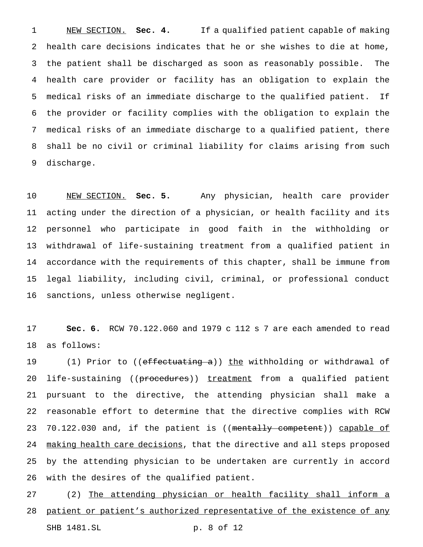NEW SECTION. **Sec. 4.** If a qualified patient capable of making health care decisions indicates that he or she wishes to die at home, the patient shall be discharged as soon as reasonably possible. The health care provider or facility has an obligation to explain the medical risks of an immediate discharge to the qualified patient. If the provider or facility complies with the obligation to explain the medical risks of an immediate discharge to a qualified patient, there shall be no civil or criminal liability for claims arising from such discharge.

 NEW SECTION. **Sec. 5.** Any physician, health care provider acting under the direction of a physician, or health facility and its personnel who participate in good faith in the withholding or withdrawal of life-sustaining treatment from a qualified patient in accordance with the requirements of this chapter, shall be immune from legal liability, including civil, criminal, or professional conduct sanctions, unless otherwise negligent.

 **Sec. 6.** RCW 70.122.060 and 1979 c 112 s 7 are each amended to read as follows:

19 (1) Prior to ((effectuating a)) the withholding or withdrawal of 20 life-sustaining ((procedures)) treatment from a qualified patient pursuant to the directive, the attending physician shall make a reasonable effort to determine that the directive complies with RCW 23 70.122.030 and, if the patient is ((mentally competent)) capable of 24 making health care decisions, that the directive and all steps proposed by the attending physician to be undertaken are currently in accord with the desires of the qualified patient.

 (2) The attending physician or health facility shall inform a 28 patient or patient's authorized representative of the existence of any

SHB 1481.SL p. 8 of 12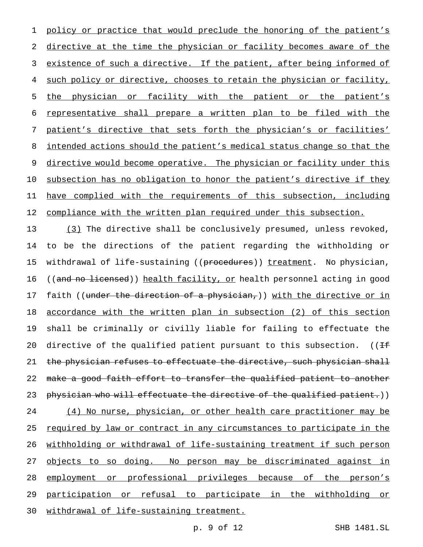1 policy or practice that would preclude the honoring of the patient's directive at the time the physician or facility becomes aware of the existence of such a directive. If the patient, after being informed of such policy or directive, chooses to retain the physician or facility, the physician or facility with the patient or the patient's representative shall prepare a written plan to be filed with the patient's directive that sets forth the physician's or facilities' 8 intended actions should the patient's medical status change so that the 9 directive would become operative. The physician or facility under this subsection has no obligation to honor the patient's directive if they have complied with the requirements of this subsection, including 12 compliance with the written plan required under this subsection.

13 (3) The directive shall be conclusively presumed, unless revoked, 14 to be the directions of the patient regarding the withholding or 15 withdrawal of life-sustaining ((procedures)) treatment. No physician, 16 ((and no licensed)) health facility, or health personnel acting in good 17 faith ((under the direction of a physician,)) with the directive or in 18 accordance with the written plan in subsection (2) of this section 19 shall be criminally or civilly liable for failing to effectuate the 20 directive of the qualified patient pursuant to this subsection. (( $H$ 21 the physician refuses to effectuate the directive, such physician shall 22 make a good faith effort to transfer the qualified patient to another 23 physician who will effectuate the directive of the qualified patient.)) 24 (4) No nurse, physician, or other health care practitioner may be 25 required by law or contract in any circumstances to participate in the 26 withholding or withdrawal of life-sustaining treatment if such person 27 objects to so doing. No person may be discriminated against in 28 employment or professional privileges because of the person's 29 participation or refusal to participate in the withholding or 30 withdrawal of life-sustaining treatment.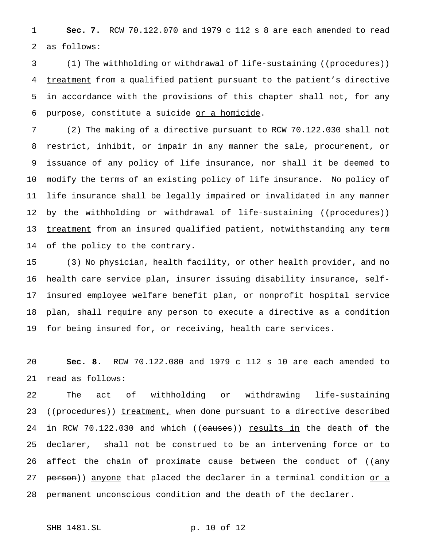**Sec. 7.** RCW 70.122.070 and 1979 c 112 s 8 are each amended to read as follows:

3 (1) The withholding or withdrawal of life-sustaining ((procedures)) 4 treatment from a qualified patient pursuant to the patient's directive in accordance with the provisions of this chapter shall not, for any purpose, constitute a suicide or a homicide.

 (2) The making of a directive pursuant to RCW 70.122.030 shall not restrict, inhibit, or impair in any manner the sale, procurement, or issuance of any policy of life insurance, nor shall it be deemed to modify the terms of an existing policy of life insurance. No policy of life insurance shall be legally impaired or invalidated in any manner 12 by the withholding or withdrawal of life-sustaining ((procedures)) 13 treatment from an insured qualified patient, notwithstanding any term of the policy to the contrary.

 (3) No physician, health facility, or other health provider, and no health care service plan, insurer issuing disability insurance, self- insured employee welfare benefit plan, or nonprofit hospital service plan, shall require any person to execute a directive as a condition for being insured for, or receiving, health care services.

 **Sec. 8.** RCW 70.122.080 and 1979 c 112 s 10 are each amended to read as follows:

 The act of withholding or withdrawing life-sustaining 23 ((procedures)) treatment, when done pursuant to a directive described 24 in RCW 70.122.030 and which ((causes)) <u>results in</u> the death of the declarer, shall not be construed to be an intervening force or to 26 affect the chain of proximate cause between the conduct of ((any 27 person)) anyone that placed the declarer in a terminal condition or a 28 permanent unconscious condition and the death of the declarer.

```
SHB 1481.SL p. 10 of 12
```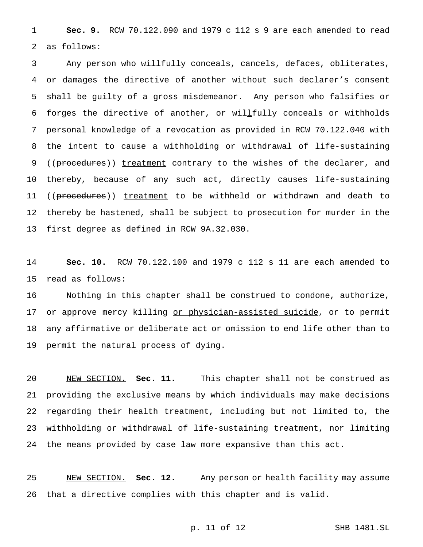**Sec. 9.** RCW 70.122.090 and 1979 c 112 s 9 are each amended to read as follows:

 Any person who willfully conceals, cancels, defaces, obliterates, or damages the directive of another without such declarer's consent shall be guilty of a gross misdemeanor. Any person who falsifies or forges the directive of another, or willfully conceals or withholds personal knowledge of a revocation as provided in RCW 70.122.040 with the intent to cause a withholding or withdrawal of life-sustaining 9 ((procedures)) treatment contrary to the wishes of the declarer, and thereby, because of any such act, directly causes life-sustaining 11 ((procedures)) treatment to be withheld or withdrawn and death to thereby be hastened, shall be subject to prosecution for murder in the first degree as defined in RCW 9A.32.030.

 **Sec. 10.** RCW 70.122.100 and 1979 c 112 s 11 are each amended to read as follows:

 Nothing in this chapter shall be construed to condone, authorize, 17 or approve mercy killing or physician-assisted suicide, or to permit any affirmative or deliberate act or omission to end life other than to permit the natural process of dying.

 NEW SECTION. **Sec. 11.** This chapter shall not be construed as providing the exclusive means by which individuals may make decisions regarding their health treatment, including but not limited to, the withholding or withdrawal of life-sustaining treatment, nor limiting the means provided by case law more expansive than this act.

 NEW SECTION. **Sec. 12.** Any person or health facility may assume that a directive complies with this chapter and is valid.